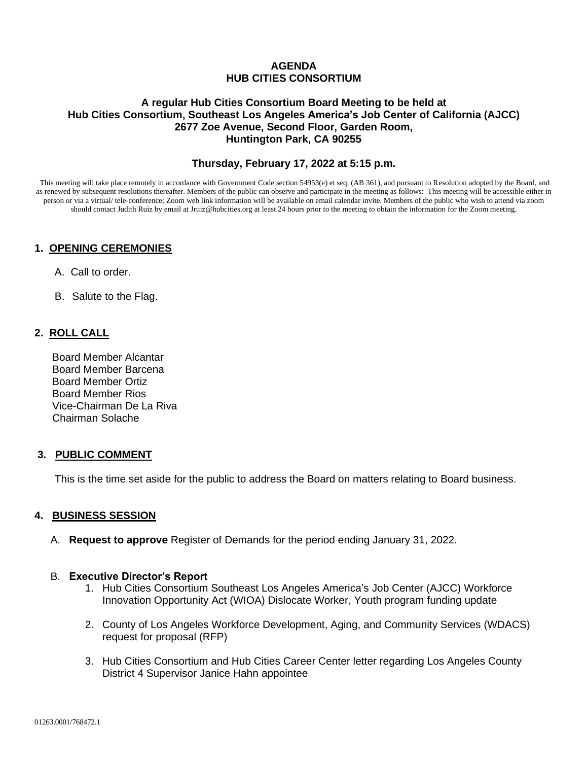# **AGENDA HUB CITIES CONSORTIUM**

#### **A regular Hub Cities Consortium Board Meeting to be held at Hub Cities Consortium, Southeast Los Angeles America's Job Center of California (AJCC) 2677 Zoe Avenue, Second Floor, Garden Room, Huntington Park, CA 90255**

### **Thursday, February 17, 2022 at 5:15 p.m.**

This meeting will take place remotely in accordance with Government Code section 54953(e) et seq. (AB 361), and pursuant to Resolution adopted by the Board, and as renewed by subsequent resolutions thereafter. Members of the public can observe and participate in the meeting as follows: This meeting will be accessible either in person or via a virtual/ tele-conference; Zoom web link information will be available on email calendar invite. Members of the public who wish to attend via zoom should contact Judith Ruiz by email at Jruiz@hubcities.org at least 24 hours prior to the meeting to obtain the information for the Zoom meeting.

### **1. OPENING CEREMONIES**

- A. Call to order.
- B. Salute to the Flag.

### **2. ROLL CALL**

 Board Member Alcantar Board Member Barcena Board Member Ortiz Board Member Rios Vice-Chairman De La Riva Chairman Solache

### **3. PUBLIC COMMENT**

This is the time set aside for the public to address the Board on matters relating to Board business.

### **4. BUSINESS SESSION**

A. **Request to approve** Register of Demands for the period ending January 31, 2022.

#### B. **Executive Director's Report**

- 1. Hub Cities Consortium Southeast Los Angeles America's Job Center (AJCC) Workforce Innovation Opportunity Act (WIOA) Dislocate Worker, Youth program funding update
- 2. County of Los Angeles Workforce Development, Aging, and Community Services (WDACS) request for proposal (RFP)
- 3. Hub Cities Consortium and Hub Cities Career Center letter regarding Los Angeles County District 4 Supervisor Janice Hahn appointee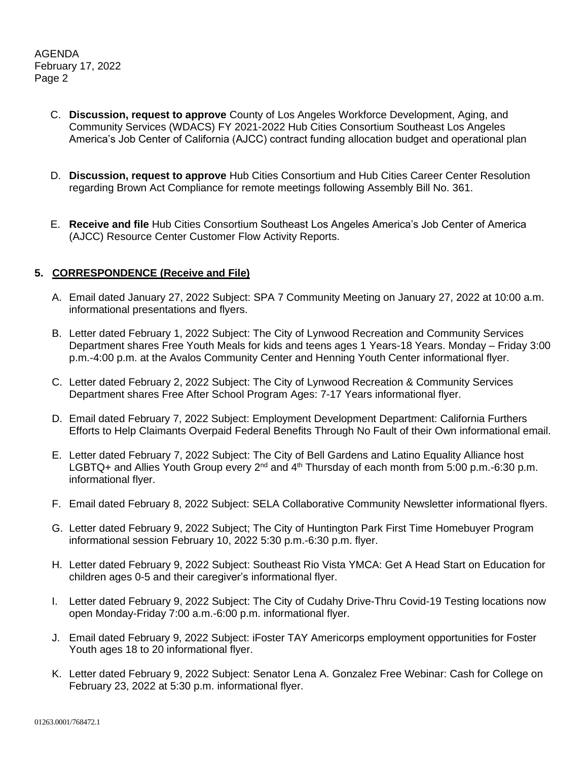AGENDA February 17, 2022 Page 2

- C. **Discussion, request to approve** County of Los Angeles Workforce Development, Aging, and Community Services (WDACS) FY 2021-2022 Hub Cities Consortium Southeast Los Angeles America's Job Center of California (AJCC) contract funding allocation budget and operational plan
- D. **Discussion, request to approve** Hub Cities Consortium and Hub Cities Career Center Resolution regarding Brown Act Compliance for remote meetings following Assembly Bill No. 361.
- E. **Receive and file** Hub Cities Consortium Southeast Los Angeles America's Job Center of America (AJCC) Resource Center Customer Flow Activity Reports.

# **5. CORRESPONDENCE (Receive and File)**

- A. Email dated January 27, 2022 Subject: SPA 7 Community Meeting on January 27, 2022 at 10:00 a.m. informational presentations and flyers.
- B. Letter dated February 1, 2022 Subject: The City of Lynwood Recreation and Community Services Department shares Free Youth Meals for kids and teens ages 1 Years-18 Years. Monday – Friday 3:00 p.m.-4:00 p.m. at the Avalos Community Center and Henning Youth Center informational flyer.
- C. Letter dated February 2, 2022 Subject: The City of Lynwood Recreation & Community Services Department shares Free After School Program Ages: 7-17 Years informational flyer.
- D. Email dated February 7, 2022 Subject: Employment Development Department: California Furthers Efforts to Help Claimants Overpaid Federal Benefits Through No Fault of their Own informational email.
- E. Letter dated February 7, 2022 Subject: The City of Bell Gardens and Latino Equality Alliance host LGBTQ+ and Allies Youth Group every 2<sup>nd</sup> and 4<sup>th</sup> Thursday of each month from 5:00 p.m.-6:30 p.m. informational flyer.
- F. Email dated February 8, 2022 Subject: SELA Collaborative Community Newsletter informational flyers.
- G. Letter dated February 9, 2022 Subject; The City of Huntington Park First Time Homebuyer Program informational session February 10, 2022 5:30 p.m.-6:30 p.m. flyer.
- H. Letter dated February 9, 2022 Subject: Southeast Rio Vista YMCA: Get A Head Start on Education for children ages 0-5 and their caregiver's informational flyer.
- I. Letter dated February 9, 2022 Subject: The City of Cudahy Drive-Thru Covid-19 Testing locations now open Monday-Friday 7:00 a.m.-6:00 p.m. informational flyer.
- J. Email dated February 9, 2022 Subject: iFoster TAY Americorps employment opportunities for Foster Youth ages 18 to 20 informational flyer.
- K. Letter dated February 9, 2022 Subject: Senator Lena A. Gonzalez Free Webinar: Cash for College on February 23, 2022 at 5:30 p.m. informational flyer.